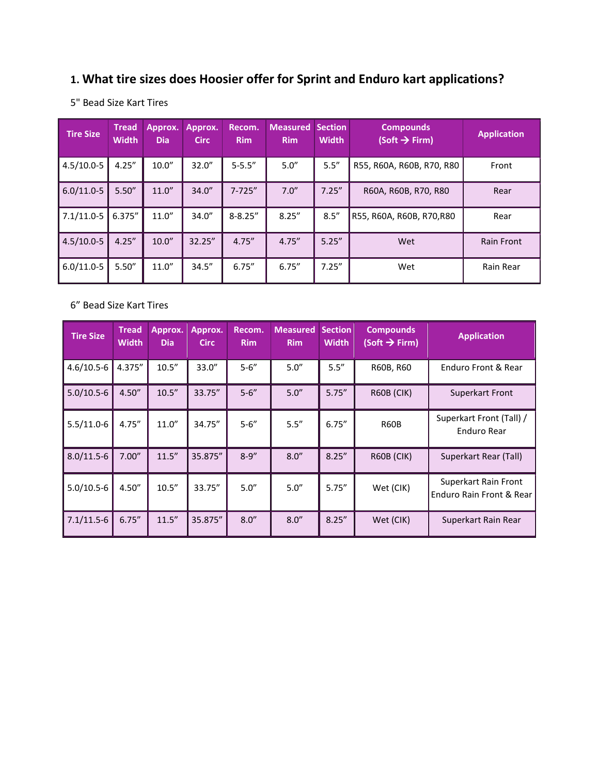# **1. What tire sizes does Hoosier offer for Sprint and Enduro kart applications?**

| <b>Tire Size</b> | <b>Tread</b><br><b>Width</b> | Approx.<br><b>Dia</b> | Approx.<br><b>Circ</b> | Recom.<br><b>Rim</b> | <b>Measured</b><br><b>Rim</b> | <b>Section</b><br><b>Width</b> | <b>Compounds</b><br>$(Soft \rightarrow Firm)$ | <b>Application</b> |
|------------------|------------------------------|-----------------------|------------------------|----------------------|-------------------------------|--------------------------------|-----------------------------------------------|--------------------|
| $4.5/10.0 - 5$   | 4.25''                       | 10.0"                 | 32.0''                 | $5 - 5.5''$          | 5.0''                         | 5.5''                          | R55, R60A, R60B, R70, R80                     | Front              |
| $6.0/11.0 - 5$   | 5.50''                       | 11.0''                | 34.0''                 | $7 - 725''$          | 7.0''                         | 7.25''                         | R60A, R60B, R70, R80                          | Rear               |
| $7.1/11.0 - 5$   | 6.375"                       | 11.0''                | 34.0''                 | $8 - 8.25''$         | 8.25''                        | 8.5''                          | R55, R60A, R60B, R70,R80                      | Rear               |
| $4.5/10.0 - 5$   | 4.25''                       | 10.0"                 | 32.25"                 | 4.75''               | 4.75''                        | 5.25''                         | Wet                                           | <b>Rain Front</b>  |
| $6.0/11.0 - 5$   | 5.50''                       | 11.0''                | 34.5''                 | 6.75''               | 6.75''                        | 7.25''                         | Wet                                           | Rain Rear          |

5" Bead Size Kart Tires

#### 6" Bead Size Kart Tires

| <b>Tire Size</b> | <b>Tread</b><br><b>Width</b> | Approx.<br><b>Dia</b> | Approx.<br><b>Circ</b> | Recom.<br><b>Rim</b> | <b>Measured</b><br><b>Rim</b> | <b>Section</b><br><b>Width</b> | <b>Compounds</b><br>(Soft $\rightarrow$ Firm) | <b>Application</b>                               |
|------------------|------------------------------|-----------------------|------------------------|----------------------|-------------------------------|--------------------------------|-----------------------------------------------|--------------------------------------------------|
| $4.6/10.5 - 6$   | 4.375"                       | 10.5''                | 33.0''                 | $5 - 6''$            | 5.0''                         | 5.5''                          | R60B, R60                                     | Enduro Front & Rear                              |
| $5.0/10.5-6$     | 4.50''                       | 10.5''                | 33.75"                 | $5 - 6''$            | 5.0''                         | 5.75''                         | <b>R60B (CIK)</b>                             | Superkart Front                                  |
| $5.5/11.0-6$     | 4.75''                       | 11.0''                | 34.75"                 | $5 - 6''$            | 5.5''                         | 6.75''                         | R60B                                          | Superkart Front (Tall) /<br>Enduro Rear          |
| $8.0/11.5 - 6$   | 7.00''                       | 11.5''                | 35.875"                | $8 - 9''$            | 8.0''                         | 8.25''                         | <b>R60B (CIK)</b>                             | Superkart Rear (Tall)                            |
| $5.0/10.5-6$     | 4.50''                       | 10.5''                | 33.75"                 | 5.0''                | 5.0''                         | 5.75''                         | Wet (CIK)                                     | Superkart Rain Front<br>Enduro Rain Front & Rear |
| $7.1/11.5-6$     | 6.75''                       | 11.5''                | 35.875"                | 8.0''                | 8.0''                         | 8.25''                         | Wet (CIK)                                     | Superkart Rain Rear                              |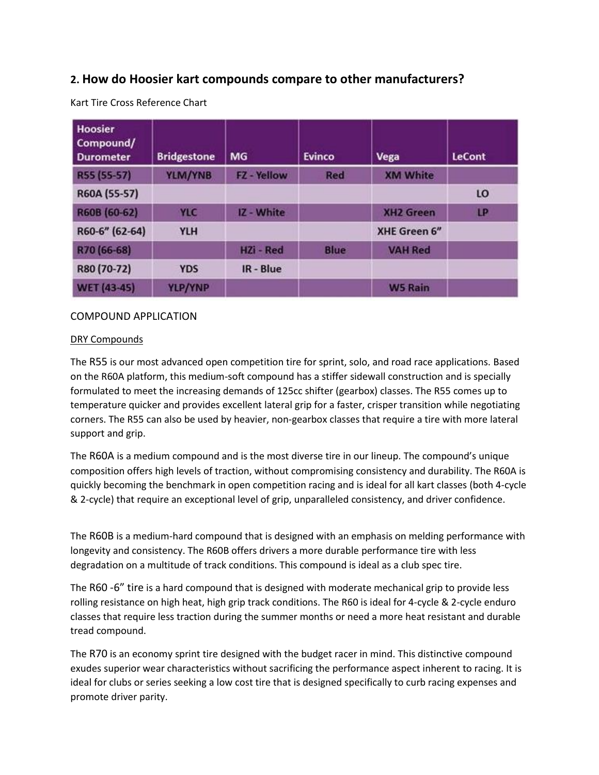### **2. How do Hoosier kart compounds compare to other manufacturers?**

| <b>Hoosier</b><br>Compound/<br><b>Durometer</b> | <b>Bridgestone</b> | <b>MG</b>          | <b>Evinco</b> | Vega                | <b>LeCont</b> |
|-------------------------------------------------|--------------------|--------------------|---------------|---------------------|---------------|
| R55 (55-57)                                     | YLM/YNB            | <b>FZ</b> - Yellow | Red           | <b>XM White</b>     |               |
| R60A (55-57)                                    |                    |                    |               |                     | LO            |
| R60B (60-62)                                    | YLC                | IZ - White         |               | <b>XH2 Green</b>    | LP            |
| R60-6" (62-64)                                  | <b>YLH</b>         |                    |               | <b>XHE Green 6"</b> |               |
| R70 (66-68)                                     |                    | HZi - Red          | <b>Blue</b>   | <b>VAH Red</b>      |               |
| R80 (70-72)                                     | <b>YDS</b>         | IR - Blue          |               |                     |               |
| <b>WET (43-45)</b>                              | YLP/YNP            |                    |               | <b>W5 Rain</b>      |               |

Kart Tire Cross Reference Chart

#### COMPOUND APPLICATION

#### DRY Compounds

The R55 is our most advanced open competition tire for sprint, solo, and road race applications. Based on the R60A platform, this medium-soft compound has a stiffer sidewall construction and is specially formulated to meet the increasing demands of 125cc shifter (gearbox) classes. The R55 comes up to temperature quicker and provides excellent lateral grip for a faster, crisper transition while negotiating corners. The R55 can also be used by heavier, non-gearbox classes that require a tire with more lateral support and grip.

The R60A is a medium compound and is the most diverse tire in our lineup. The compound's unique composition offers high levels of traction, without compromising consistency and durability. The R60A is quickly becoming the benchmark in open competition racing and is ideal for all kart classes (both 4-cycle & 2-cycle) that require an exceptional level of grip, unparalleled consistency, and driver confidence.

The R60B is a medium-hard compound that is designed with an emphasis on melding performance with longevity and consistency. The R60B offers drivers a more durable performance tire with less degradation on a multitude of track conditions. This compound is ideal as a club spec tire.

The R60 -6" tire is a hard compound that is designed with moderate mechanical grip to provide less rolling resistance on high heat, high grip track conditions. The R60 is ideal for 4-cycle & 2-cycle enduro classes that require less traction during the summer months or need a more heat resistant and durable tread compound.

The R70 is an economy sprint tire designed with the budget racer in mind. This distinctive compound exudes superior wear characteristics without sacrificing the performance aspect inherent to racing. It is ideal for clubs or series seeking a low cost tire that is designed specifically to curb racing expenses and promote driver parity.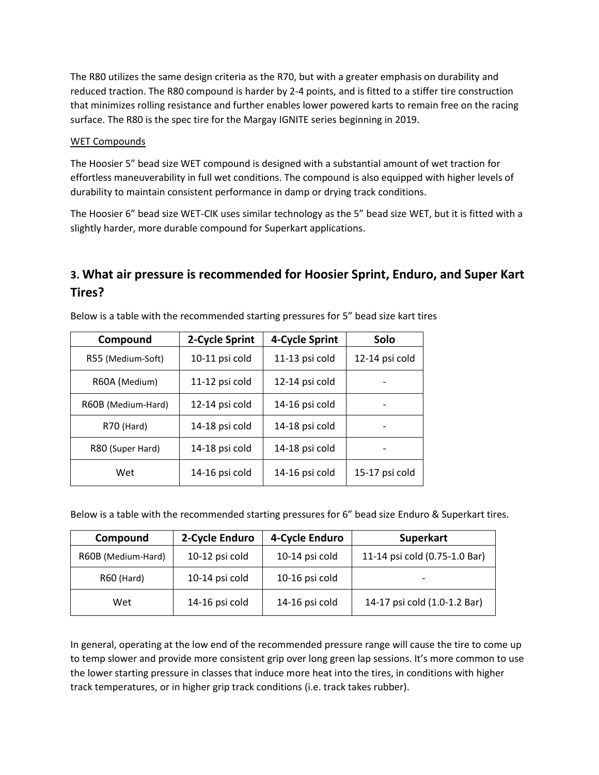The R80 utilizes the same design criteria as the R70, but with a greater emphasis on durability and reduced traction. The R80 compound is harder by 2-4 points, and is fitted to a stiffer tire construction that minimizes rolling resistance and further enables lower powered karts to remain free on the racing surface. The R80 is the spec tire for the Margay IGNITE series beginning in 2019.

#### WET Compounds

The Hoosier 5" bead size WET compound is designed with a substantial amount of wet traction for effortless maneuverability in full wet conditions. The compound is also equipped with higher levels of durability to maintain consistent performance in damp or drying track conditions.

The Hoosier 6" bead size WET-CIK uses similar technology as the 5" bead size WET, but it is fitted with a slightly harder, more durable compound for Superkart applications.

# **3. What air pressure is recommended for Hoosier Sprint, Enduro, and Super Kart Tires?**

| Compound           | 2-Cycle Sprint | 4-Cycle Sprint | Solo           |
|--------------------|----------------|----------------|----------------|
| R55 (Medium-Soft)  | 10-11 psi cold | 11-13 psi cold | 12-14 psi cold |
| R60A (Medium)      | 11-12 psi cold | 12-14 psi cold |                |
| R60B (Medium-Hard) | 12-14 psi cold | 14-16 psi cold |                |
| R70 (Hard)         | 14-18 psi cold | 14-18 psi cold |                |
| R80 (Super Hard)   | 14-18 psi cold | 14-18 psi cold |                |
| Wet                | 14-16 psi cold | 14-16 psi cold | 15-17 psi cold |

Below is a table with the recommended starting pressures for 5" bead size kart tires

Below is a table with the recommended starting pressures for 6" bead size Enduro & Superkart tires.

| Compound           | 2-Cycle Enduro<br>4-Cycle Enduro |                | <b>Superkart</b>              |  |
|--------------------|----------------------------------|----------------|-------------------------------|--|
| R60B (Medium-Hard) | 10-12 psi cold                   | 10-14 psi cold | 11-14 psi cold (0.75-1.0 Bar) |  |
| R60 (Hard)         | 10-14 psi cold                   | 10-16 psi cold |                               |  |
| Wet                | 14-16 psi cold                   | 14-16 psi cold | 14-17 psi cold (1.0-1.2 Bar)  |  |

In general, operating at the low end of the recommended pressure range will cause the tire to come up to temp slower and provide more consistent grip over long green lap sessions. It's more common to use the lower starting pressure in classes that induce more heat into the tires, in conditions with higher track temperatures, or in higher grip track conditions (i.e. track takes rubber).